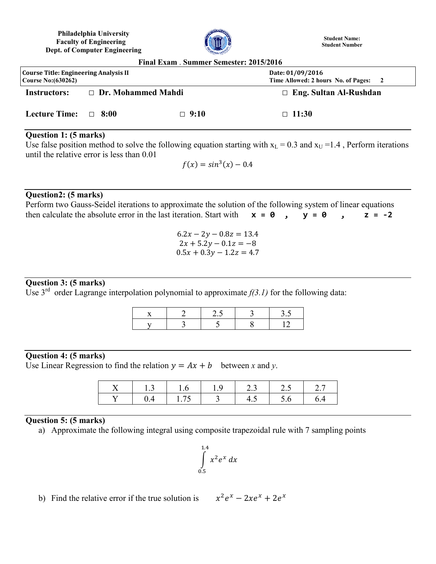**Philadelphia University Faculty of Engineering Dept. of Computer Engineering**



**Student Name: Student Number**

| Final Exam . Summer Semester: 2015/2016                        |                           |             |                                                           |  |
|----------------------------------------------------------------|---------------------------|-------------|-----------------------------------------------------------|--|
| Course Title: Engineering Analysis II<br>Course No: $(630262)$ |                           |             | Date: 01/09/2016<br>Time Allowed: 2 hours No. of Pages: 2 |  |
| <b>Instructors:</b>                                            | $\Box$ Dr. Mohammed Mahdi |             | $\Box$ Eng. Sultan Al-Rushdan                             |  |
| Lecture Time: $\Box$ 8:00                                      |                           | $\Box$ 9:10 | $\Box$ 11:30                                              |  |

## **Question 1: (5 marks)**

Use false position method to solve the following equation starting with  $x_L = 0.3$  and  $x_U = 1.4$ , Perform iterations until the relative error is less than 0.01

$$
f(x) = \sin^3(x) - 0.4
$$

### **Question2: (5 marks)**

Perform two Gauss-Seidel iterations to approximate the solution of the following system of linear equations then calculate the absolute error in the last iteration. Start with  $x = 0$ ,  $y = 0$ ,  $z = -2$ 

> $6.2x - 2y - 0.8z = 13.4$  $2x + 5.2y - 0.1z = -8$  $0.5x + 0.3y - 1.2z = 4.7$

## **Question 3: (5 marks)**

Use 3<sup>rd</sup> order Lagrange interpolation polynomial to approximate  $f(3.1)$  for the following data:

#### **Question 4: (5 marks)**

Use Linear Regression to find the relation  $y = Ax + b$  between *x* and *y*.

| $\sqrt{2}$ |               | u | 2.3 |  |
|------------|---------------|---|-----|--|
|            | $\frac{1}{4}$ |   |     |  |

## **Question 5: (5 marks)**

a) Approximate the following integral using composite trapezoidal rule with 7 sampling points

$$
\int\limits_{0.5}^{1.4} x^2 e^x dx
$$

b) Find the relative error if the true solution is 
$$
x^2 e^x - 2x e^x + 2e^x
$$